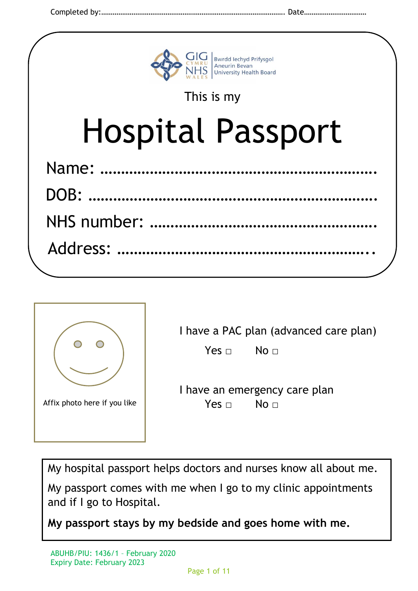



| I have a PAC plan (advanced care plan) |  |  |  |  |  |  |  |  |  |
|----------------------------------------|--|--|--|--|--|--|--|--|--|
|----------------------------------------|--|--|--|--|--|--|--|--|--|

 $Yes \Box$  No  $\Box$ 

I have an emergency care plan Yes □ No □

My hospital passport helps doctors and nurses know all about me.

My passport comes with me when I go to my clinic appointments and if I go to Hospital.

**My passport stays by my bedside and goes home with me.**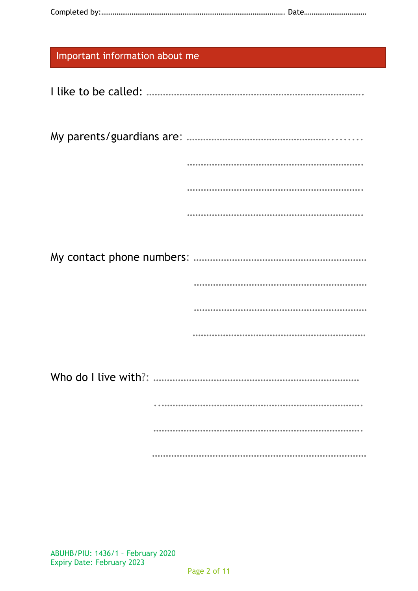|--|--|

| Important information about me |
|--------------------------------|
|                                |
|                                |
|                                |
|                                |
|                                |
|                                |
|                                |
|                                |
|                                |
|                                |
|                                |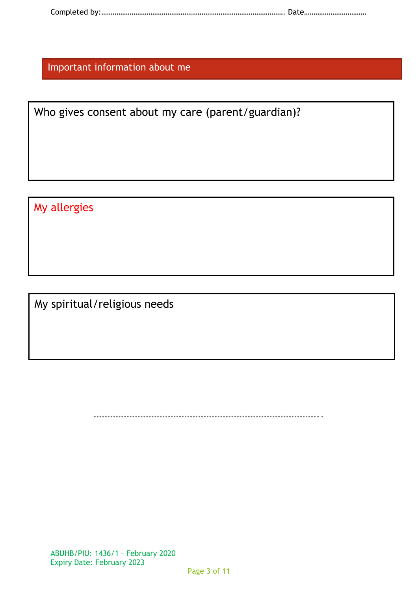|--|--|

Important information about me

Who gives consent about my care (parent/guardian)?

My allergies

My spiritual/religious needs

………………………………………………………………………..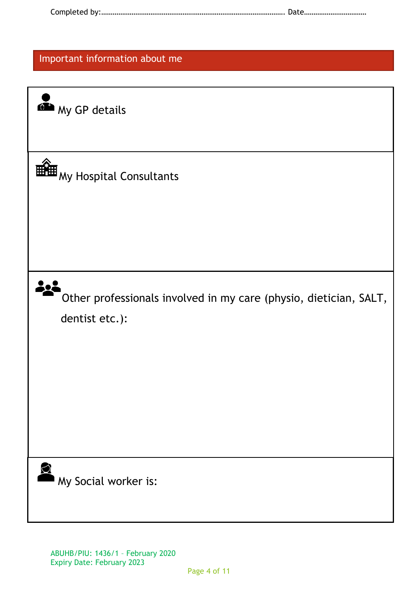|--|--|

## Important information about me

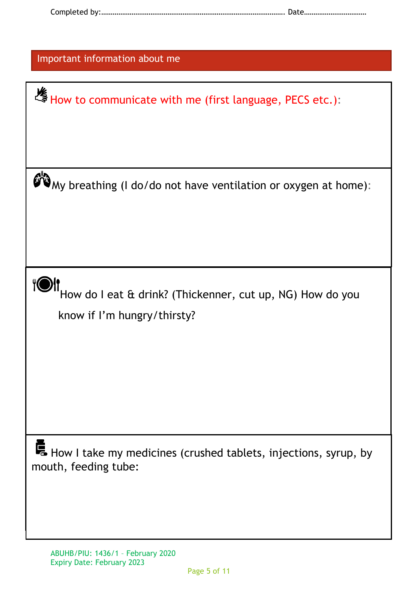|--|--|

| How to communicate with me (first language, PECS etc.):                                 |  |  |  |  |
|-----------------------------------------------------------------------------------------|--|--|--|--|
|                                                                                         |  |  |  |  |
|                                                                                         |  |  |  |  |
|                                                                                         |  |  |  |  |
|                                                                                         |  |  |  |  |
| My breathing (I do/do not have ventilation or oxygen at home):                          |  |  |  |  |
|                                                                                         |  |  |  |  |
|                                                                                         |  |  |  |  |
|                                                                                         |  |  |  |  |
|                                                                                         |  |  |  |  |
|                                                                                         |  |  |  |  |
|                                                                                         |  |  |  |  |
| How do I eat & drink? (Thickenner, cut up, NG) How do you                               |  |  |  |  |
| know if I'm hungry/thirsty?                                                             |  |  |  |  |
|                                                                                         |  |  |  |  |
|                                                                                         |  |  |  |  |
|                                                                                         |  |  |  |  |
|                                                                                         |  |  |  |  |
|                                                                                         |  |  |  |  |
|                                                                                         |  |  |  |  |
|                                                                                         |  |  |  |  |
|                                                                                         |  |  |  |  |
|                                                                                         |  |  |  |  |
|                                                                                         |  |  |  |  |
| How I take my medicines (crushed tablets, injections, syrup, by<br>mouth, feeding tube: |  |  |  |  |
|                                                                                         |  |  |  |  |
|                                                                                         |  |  |  |  |
|                                                                                         |  |  |  |  |
|                                                                                         |  |  |  |  |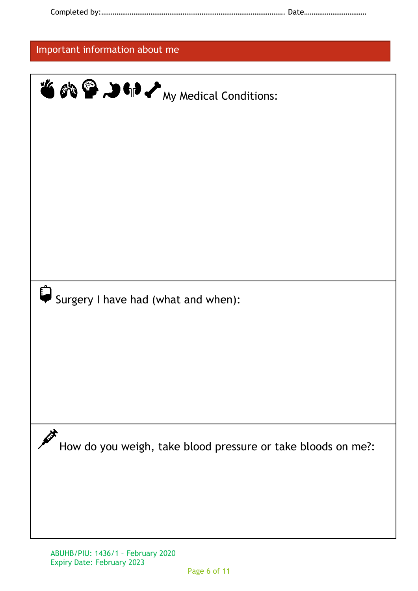| Important information about me                                    |  |  |
|-------------------------------------------------------------------|--|--|
| <b>TO ON P DO OF A</b> My Medical Conditions:                     |  |  |
| Surgery I have had (what and when):                               |  |  |
| 乄<br>How do you weigh, take blood pressure or take bloods on me?: |  |  |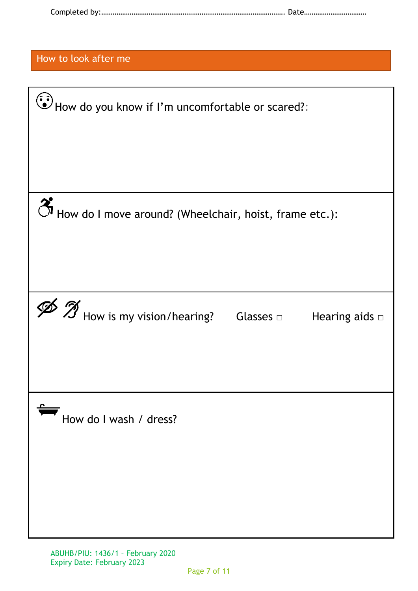|--|--|

How to look after me

| $\left(\frac{1}{2}\right)$ How do you know if I'm uncomfortable or scared?:              |  |  |  |  |
|------------------------------------------------------------------------------------------|--|--|--|--|
| How do I move around? (Wheelchair, hoist, frame etc.):                                   |  |  |  |  |
| $\mathscr{B}$ $\mathscr{T}$ How is my vision/hearing? Glasses $\Box$ Hearing aids $\Box$ |  |  |  |  |
| How do I wash / dress?                                                                   |  |  |  |  |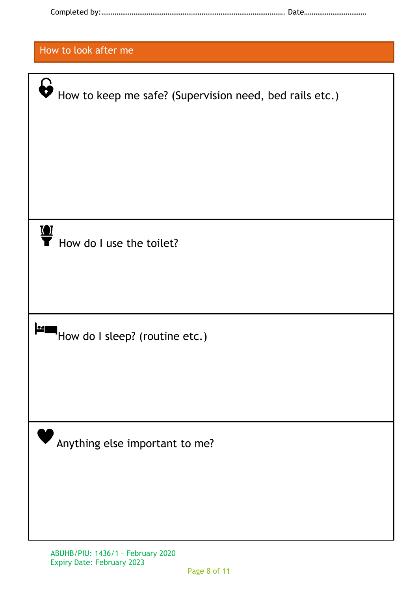|--|--|

| How to look after me                                                             |
|----------------------------------------------------------------------------------|
|                                                                                  |
| $\boldsymbol{\theta}$<br>How to keep me safe? (Supervision need, bed rails etc.) |
|                                                                                  |
|                                                                                  |
| $\mathbf{Q}$<br>How do I use the toilet?                                         |
|                                                                                  |
| l●⊿∣<br>How do I sleep? (routine etc.)                                           |
|                                                                                  |
| Anything else important to me?                                                   |
|                                                                                  |
|                                                                                  |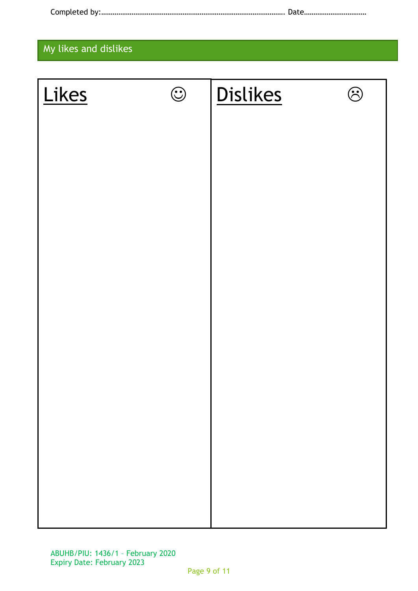|--|--|

## My likes and dislikes

| Likes | $\odot$ | <b>Dislikes</b> | ි |
|-------|---------|-----------------|---|
|       |         |                 |   |
|       |         |                 |   |
|       |         |                 |   |
|       |         |                 |   |
|       |         |                 |   |
|       |         |                 |   |
|       |         |                 |   |
|       |         |                 |   |
|       |         |                 |   |
|       |         |                 |   |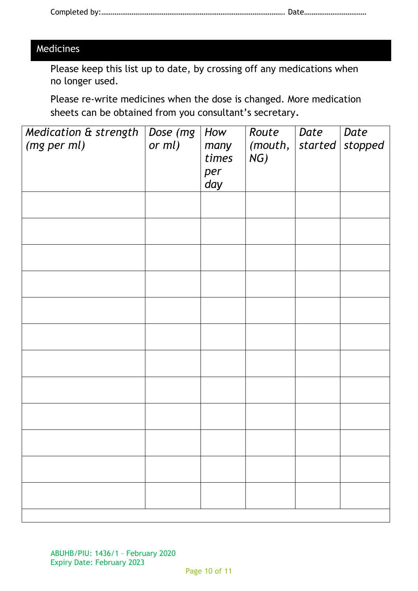## Medicines

Please keep this list up to date, by crossing off any medications when no longer used.

Please re-write medicines when the dose is changed. More medication sheets can be obtained from you consultant's secretary.

| Medication & strength<br>(mg per ml) | Dose (mg<br>or $ml$ ) | How<br>many<br>times<br>per<br>day | Route<br>(mouth,<br>NG) | Date<br>started | Date<br>stopped |
|--------------------------------------|-----------------------|------------------------------------|-------------------------|-----------------|-----------------|
|                                      |                       |                                    |                         |                 |                 |
|                                      |                       |                                    |                         |                 |                 |
|                                      |                       |                                    |                         |                 |                 |
|                                      |                       |                                    |                         |                 |                 |
|                                      |                       |                                    |                         |                 |                 |
|                                      |                       |                                    |                         |                 |                 |
|                                      |                       |                                    |                         |                 |                 |
|                                      |                       |                                    |                         |                 |                 |
|                                      |                       |                                    |                         |                 |                 |
|                                      |                       |                                    |                         |                 |                 |
|                                      |                       |                                    |                         |                 |                 |
|                                      |                       |                                    |                         |                 |                 |
|                                      |                       |                                    |                         |                 |                 |